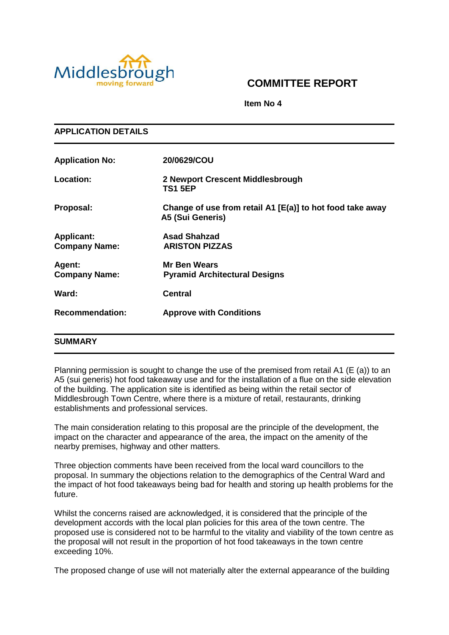

**APPLICATION DETAILS**

# **COMMITTEE REPORT**

**Item No 4**

| <b>Application No:</b>                    | 20/0629/COU                                                                   |
|-------------------------------------------|-------------------------------------------------------------------------------|
| Location:                                 | 2 Newport Crescent Middlesbrough<br><b>TS1 5EP</b>                            |
| Proposal:                                 | Change of use from retail A1 [E(a)] to hot food take away<br>A5 (Sui Generis) |
| <b>Applicant:</b><br><b>Company Name:</b> | <b>Asad Shahzad</b><br><b>ARISTON PIZZAS</b>                                  |
| Agent:<br><b>Company Name:</b>            | <b>Mr Ben Wears</b><br><b>Pyramid Architectural Designs</b>                   |
| Ward:                                     | <b>Central</b>                                                                |
| <b>Recommendation:</b>                    | <b>Approve with Conditions</b>                                                |
|                                           |                                                                               |

# **SUMMARY**

Planning permission is sought to change the use of the premised from retail A1 (E (a)) to an A5 (sui generis) hot food takeaway use and for the installation of a flue on the side elevation of the building. The application site is identified as being within the retail sector of Middlesbrough Town Centre, where there is a mixture of retail, restaurants, drinking establishments and professional services.

The main consideration relating to this proposal are the principle of the development, the impact on the character and appearance of the area, the impact on the amenity of the nearby premises, highway and other matters.

Three objection comments have been received from the local ward councillors to the proposal. In summary the objections relation to the demographics of the Central Ward and the impact of hot food takeaways being bad for health and storing up health problems for the future.

Whilst the concerns raised are acknowledged, it is considered that the principle of the development accords with the local plan policies for this area of the town centre. The proposed use is considered not to be harmful to the vitality and viability of the town centre as the proposal will not result in the proportion of hot food takeaways in the town centre exceeding 10%.

The proposed change of use will not materially alter the external appearance of the building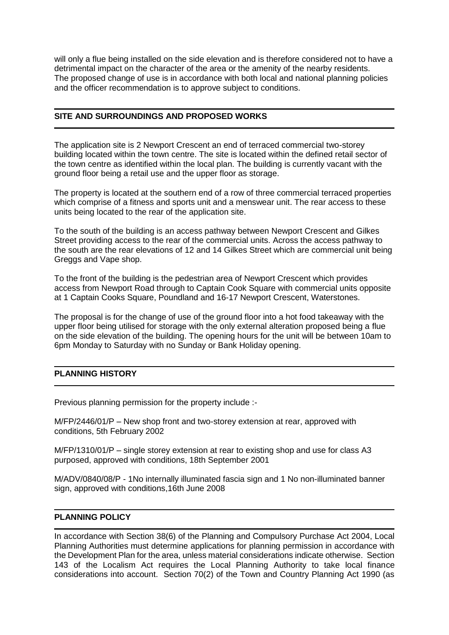will only a flue being installed on the side elevation and is therefore considered not to have a detrimental impact on the character of the area or the amenity of the nearby residents. The proposed change of use is in accordance with both local and national planning policies and the officer recommendation is to approve subject to conditions.

# **SITE AND SURROUNDINGS AND PROPOSED WORKS**

The application site is 2 Newport Crescent an end of terraced commercial two-storey building located within the town centre. The site is located within the defined retail sector of the town centre as identified within the local plan. The building is currently vacant with the ground floor being a retail use and the upper floor as storage.

The property is located at the southern end of a row of three commercial terraced properties which comprise of a fitness and sports unit and a menswear unit. The rear access to these units being located to the rear of the application site.

To the south of the building is an access pathway between Newport Crescent and Gilkes Street providing access to the rear of the commercial units. Across the access pathway to the south are the rear elevations of 12 and 14 Gilkes Street which are commercial unit being Greggs and Vape shop.

To the front of the building is the pedestrian area of Newport Crescent which provides access from Newport Road through to Captain Cook Square with commercial units opposite at 1 Captain Cooks Square, Poundland and 16-17 Newport Crescent, Waterstones.

The proposal is for the change of use of the ground floor into a hot food takeaway with the upper floor being utilised for storage with the only external alteration proposed being a flue on the side elevation of the building. The opening hours for the unit will be between 10am to 6pm Monday to Saturday with no Sunday or Bank Holiday opening.

# **PLANNING HISTORY**

Previous planning permission for the property include :-

M/FP/2446/01/P – New shop front and two-storey extension at rear, approved with conditions, 5th February 2002

M/FP/1310/01/P – single storey extension at rear to existing shop and use for class A3 purposed, approved with conditions, 18th September 2001

M/ADV/0840/08/P - 1No internally illuminated fascia sign and 1 No non-illuminated banner sign, approved with conditions,16th June 2008

# **PLANNING POLICY**

In accordance with Section 38(6) of the Planning and Compulsory Purchase Act 2004, Local Planning Authorities must determine applications for planning permission in accordance with the Development Plan for the area, unless material considerations indicate otherwise. Section 143 of the Localism Act requires the Local Planning Authority to take local finance considerations into account. Section 70(2) of the Town and Country Planning Act 1990 (as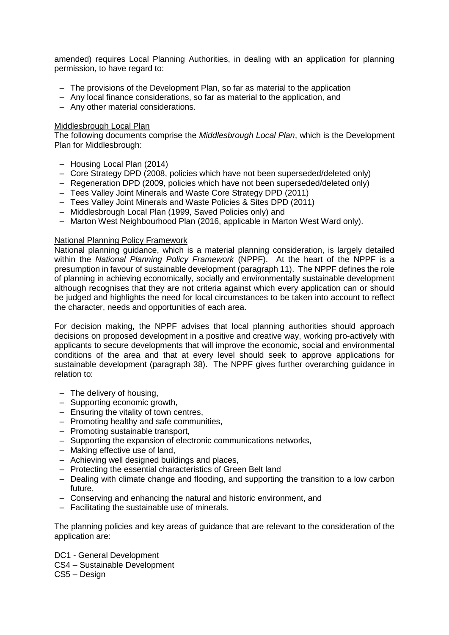amended) requires Local Planning Authorities, in dealing with an application for planning permission, to have regard to:

- The provisions of the Development Plan, so far as material to the application
- Any local finance considerations, so far as material to the application, and
- Any other material considerations.

#### Middlesbrough Local Plan

The following documents comprise the *Middlesbrough Local Plan*, which is the Development Plan for Middlesbrough:

- Housing Local Plan (2014)
- Core Strategy DPD (2008, policies which have not been superseded/deleted only)
- Regeneration DPD (2009, policies which have not been superseded/deleted only)
- Tees Valley Joint Minerals and Waste Core Strategy DPD (2011)
- Tees Valley Joint Minerals and Waste Policies & Sites DPD (2011)
- Middlesbrough Local Plan (1999, Saved Policies only) and
- Marton West Neighbourhood Plan (2016, applicable in Marton West Ward only).

#### National Planning Policy Framework

National planning guidance, which is a material planning consideration, is largely detailed within the *National Planning Policy Framework* (NPPF). At the heart of the NPPF is a presumption in favour of sustainable development (paragraph 11). The NPPF defines the role of planning in achieving economically, socially and environmentally sustainable development although recognises that they are not criteria against which every application can or should be judged and highlights the need for local circumstances to be taken into account to reflect the character, needs and opportunities of each area.

For decision making, the NPPF advises that local planning authorities should approach decisions on proposed development in a positive and creative way, working pro-actively with applicants to secure developments that will improve the economic, social and environmental conditions of the area and that at every level should seek to approve applications for sustainable development (paragraph 38). The NPPF gives further overarching guidance in relation to:

- The delivery of housing,
- Supporting economic growth,
- Ensuring the vitality of town centres,
- Promoting healthy and safe communities,
- Promoting sustainable transport,
- Supporting the expansion of electronic communications networks,
- Making effective use of land,
- Achieving well designed buildings and places,
- Protecting the essential characteristics of Green Belt land
- Dealing with climate change and flooding, and supporting the transition to a low carbon future,
- Conserving and enhancing the natural and historic environment, and
- Facilitating the sustainable use of minerals.

The planning policies and key areas of guidance that are relevant to the consideration of the application are:

- DC1 General Development
- CS4 Sustainable Development
- CS5 Design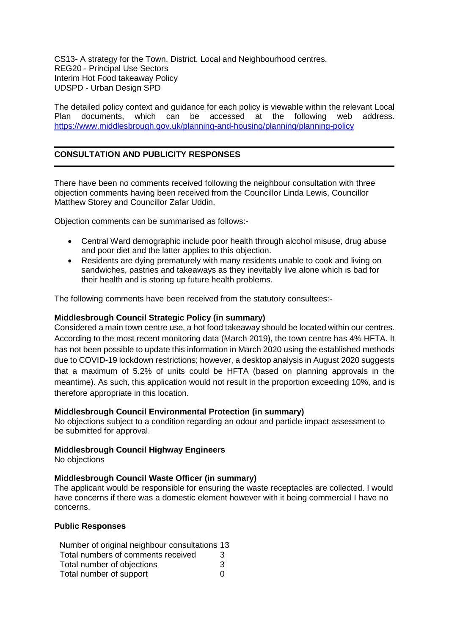CS13- A strategy for the Town, District, Local and Neighbourhood centres. REG20 - Principal Use Sectors Interim Hot Food takeaway Policy UDSPD - Urban Design SPD

The detailed policy context and guidance for each policy is viewable within the relevant Local Plan documents, which can be accessed at the following web address. <https://www.middlesbrough.gov.uk/planning-and-housing/planning/planning-policy>

# **CONSULTATION AND PUBLICITY RESPONSES**

There have been no comments received following the neighbour consultation with three objection comments having been received from the Councillor Linda Lewis, Councillor Matthew Storey and Councillor Zafar Uddin.

Objection comments can be summarised as follows:-

- Central Ward demographic include poor health through alcohol misuse, drug abuse and poor diet and the latter applies to this objection.
- Residents are dying prematurely with many residents unable to cook and living on sandwiches, pastries and takeaways as they inevitably live alone which is bad for their health and is storing up future health problems.

The following comments have been received from the statutory consultees:-

## **Middlesbrough Council Strategic Policy (in summary)**

Considered a main town centre use, a hot food takeaway should be located within our centres. According to the most recent monitoring data (March 2019), the town centre has 4% HFTA. It has not been possible to update this information in March 2020 using the established methods due to COVID-19 lockdown restrictions; however, a desktop analysis in August 2020 suggests that a maximum of 5.2% of units could be HFTA (based on planning approvals in the meantime). As such, this application would not result in the proportion exceeding 10%, and is therefore appropriate in this location.

#### **Middlesbrough Council Environmental Protection (in summary)**

No objections subject to a condition regarding an odour and particle impact assessment to be submitted for approval.

# **Middlesbrough Council Highway Engineers**

No objections

#### **Middlesbrough Council Waste Officer (in summary)**

The applicant would be responsible for ensuring the waste receptacles are collected. I would have concerns if there was a domestic element however with it being commercial I have no concerns.

#### **Public Responses**

Number of original neighbour consultations 13 Total numbers of comments received 3 Total number of objections 3 Total number of support 0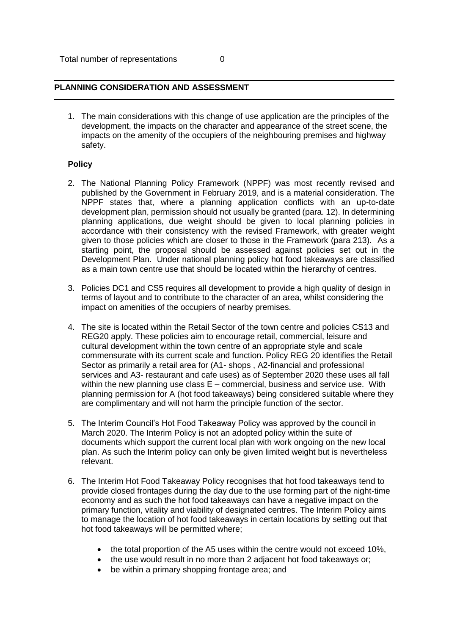## **PLANNING CONSIDERATION AND ASSESSMENT**

1. The main considerations with this change of use application are the principles of the development, the impacts on the character and appearance of the street scene, the impacts on the amenity of the occupiers of the neighbouring premises and highway safety.

## **Policy**

- 2. The National Planning Policy Framework (NPPF) was most recently revised and published by the Government in February 2019, and is a material consideration. The NPPF states that, where a planning application conflicts with an up-to-date development plan, permission should not usually be granted (para. 12). In determining planning applications, due weight should be given to local planning policies in accordance with their consistency with the revised Framework, with greater weight given to those policies which are closer to those in the Framework (para 213). As a starting point, the proposal should be assessed against policies set out in the Development Plan. Under national planning policy hot food takeaways are classified as a main town centre use that should be located within the hierarchy of centres.
- 3. Policies DC1 and CS5 requires all development to provide a high quality of design in terms of layout and to contribute to the character of an area, whilst considering the impact on amenities of the occupiers of nearby premises.
- 4. The site is located within the Retail Sector of the town centre and policies CS13 and REG20 apply. These policies aim to encourage retail, commercial, leisure and cultural development within the town centre of an appropriate style and scale commensurate with its current scale and function. Policy REG 20 identifies the Retail Sector as primarily a retail area for (A1- shops , A2-financial and professional services and A3- restaurant and cafe uses) as of September 2020 these uses all fall within the new planning use class  $E$  – commercial, business and service use. With planning permission for A (hot food takeaways) being considered suitable where they are complimentary and will not harm the principle function of the sector.
- 5. The Interim Council's Hot Food Takeaway Policy was approved by the council in March 2020. The Interim Policy is not an adopted policy within the suite of documents which support the current local plan with work ongoing on the new local plan. As such the Interim policy can only be given limited weight but is nevertheless relevant.
- 6. The Interim Hot Food Takeaway Policy recognises that hot food takeaways tend to provide closed frontages during the day due to the use forming part of the night-time economy and as such the hot food takeaways can have a negative impact on the primary function, vitality and viability of designated centres. The Interim Policy aims to manage the location of hot food takeaways in certain locations by setting out that hot food takeaways will be permitted where;
	- the total proportion of the A5 uses within the centre would not exceed 10%,
	- the use would result in no more than 2 adiacent hot food takeaways or:
	- be within a primary shopping frontage area; and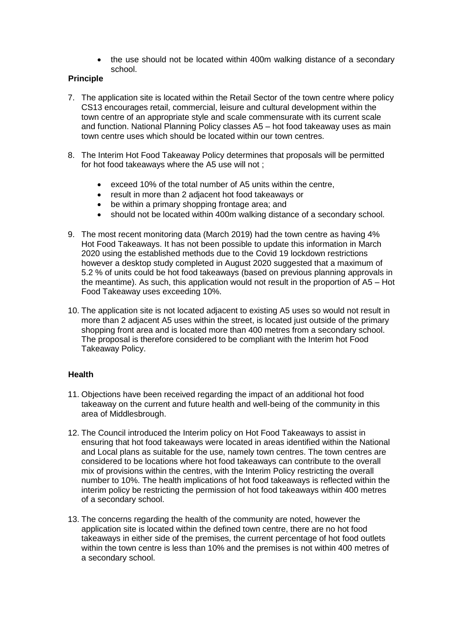• the use should not be located within 400m walking distance of a secondary school.

# **Principle**

- 7. The application site is located within the Retail Sector of the town centre where policy CS13 encourages retail, commercial, leisure and cultural development within the town centre of an appropriate style and scale commensurate with its current scale and function. National Planning Policy classes A5 – hot food takeaway uses as main town centre uses which should be located within our town centres.
- 8. The Interim Hot Food Takeaway Policy determines that proposals will be permitted for hot food takeaways where the A5 use will not ;
	- exceed 10% of the total number of A5 units within the centre,
	- result in more than 2 adjacent hot food takeaways or
	- be within a primary shopping frontage area; and
	- should not be located within 400m walking distance of a secondary school.
- 9. The most recent monitoring data (March 2019) had the town centre as having 4% Hot Food Takeaways. It has not been possible to update this information in March 2020 using the established methods due to the Covid 19 lockdown restrictions however a desktop study completed in August 2020 suggested that a maximum of 5.2 % of units could be hot food takeaways (based on previous planning approvals in the meantime). As such, this application would not result in the proportion of A5 – Hot Food Takeaway uses exceeding 10%.
- 10. The application site is not located adjacent to existing A5 uses so would not result in more than 2 adjacent A5 uses within the street, is located just outside of the primary shopping front area and is located more than 400 metres from a secondary school. The proposal is therefore considered to be compliant with the Interim hot Food Takeaway Policy.

# **Health**

- 11. Objections have been received regarding the impact of an additional hot food takeaway on the current and future health and well-being of the community in this area of Middlesbrough.
- 12. The Council introduced the Interim policy on Hot Food Takeaways to assist in ensuring that hot food takeaways were located in areas identified within the National and Local plans as suitable for the use, namely town centres. The town centres are considered to be locations where hot food takeaways can contribute to the overall mix of provisions within the centres, with the Interim Policy restricting the overall number to 10%. The health implications of hot food takeaways is reflected within the interim policy be restricting the permission of hot food takeaways within 400 metres of a secondary school.
- 13. The concerns regarding the health of the community are noted, however the application site is located within the defined town centre, there are no hot food takeaways in either side of the premises, the current percentage of hot food outlets within the town centre is less than 10% and the premises is not within 400 metres of a secondary school.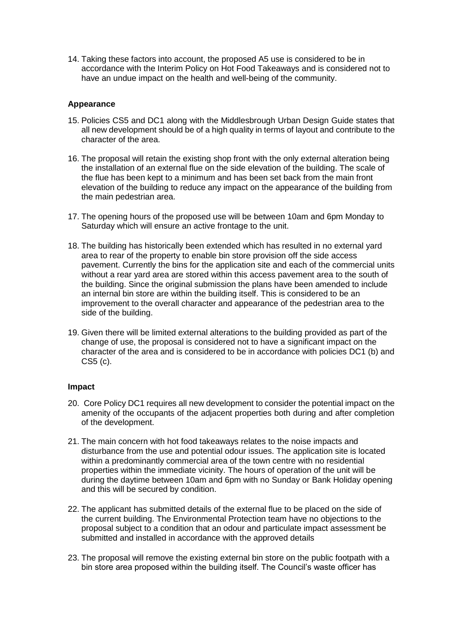14. Taking these factors into account, the proposed A5 use is considered to be in accordance with the Interim Policy on Hot Food Takeaways and is considered not to have an undue impact on the health and well-being of the community.

## **Appearance**

- 15. Policies CS5 and DC1 along with the Middlesbrough Urban Design Guide states that all new development should be of a high quality in terms of layout and contribute to the character of the area.
- 16. The proposal will retain the existing shop front with the only external alteration being the installation of an external flue on the side elevation of the building. The scale of the flue has been kept to a minimum and has been set back from the main front elevation of the building to reduce any impact on the appearance of the building from the main pedestrian area.
- 17. The opening hours of the proposed use will be between 10am and 6pm Monday to Saturday which will ensure an active frontage to the unit.
- 18. The building has historically been extended which has resulted in no external yard area to rear of the property to enable bin store provision off the side access pavement. Currently the bins for the application site and each of the commercial units without a rear yard area are stored within this access pavement area to the south of the building. Since the original submission the plans have been amended to include an internal bin store are within the building itself. This is considered to be an improvement to the overall character and appearance of the pedestrian area to the side of the building.
- 19. Given there will be limited external alterations to the building provided as part of the change of use, the proposal is considered not to have a significant impact on the character of the area and is considered to be in accordance with policies DC1 (b) and CS5 (c).

#### **Impact**

- 20. Core Policy DC1 requires all new development to consider the potential impact on the amenity of the occupants of the adjacent properties both during and after completion of the development.
- 21. The main concern with hot food takeaways relates to the noise impacts and disturbance from the use and potential odour issues. The application site is located within a predominantly commercial area of the town centre with no residential properties within the immediate vicinity. The hours of operation of the unit will be during the daytime between 10am and 6pm with no Sunday or Bank Holiday opening and this will be secured by condition.
- 22. The applicant has submitted details of the external flue to be placed on the side of the current building. The Environmental Protection team have no objections to the proposal subject to a condition that an odour and particulate impact assessment be submitted and installed in accordance with the approved details
- 23. The proposal will remove the existing external bin store on the public footpath with a bin store area proposed within the building itself. The Council's waste officer has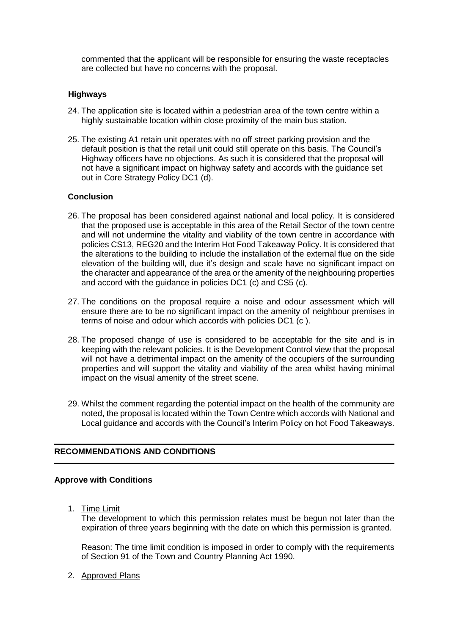commented that the applicant will be responsible for ensuring the waste receptacles are collected but have no concerns with the proposal.

## **Highways**

- 24. The application site is located within a pedestrian area of the town centre within a highly sustainable location within close proximity of the main bus station.
- 25. The existing A1 retain unit operates with no off street parking provision and the default position is that the retail unit could still operate on this basis. The Council's Highway officers have no objections. As such it is considered that the proposal will not have a significant impact on highway safety and accords with the guidance set out in Core Strategy Policy DC1 (d).

## **Conclusion**

- 26. The proposal has been considered against national and local policy. It is considered that the proposed use is acceptable in this area of the Retail Sector of the town centre and will not undermine the vitality and viability of the town centre in accordance with policies CS13, REG20 and the Interim Hot Food Takeaway Policy. It is considered that the alterations to the building to include the installation of the external flue on the side elevation of the building will, due it's design and scale have no significant impact on the character and appearance of the area or the amenity of the neighbouring properties and accord with the guidance in policies DC1 (c) and CS5 (c).
- 27. The conditions on the proposal require a noise and odour assessment which will ensure there are to be no significant impact on the amenity of neighbour premises in terms of noise and odour which accords with policies DC1 (c ).
- 28. The proposed change of use is considered to be acceptable for the site and is in keeping with the relevant policies. It is the Development Control view that the proposal will not have a detrimental impact on the amenity of the occupiers of the surrounding properties and will support the vitality and viability of the area whilst having minimal impact on the visual amenity of the street scene.
- 29. Whilst the comment regarding the potential impact on the health of the community are noted, the proposal is located within the Town Centre which accords with National and Local guidance and accords with the Council's Interim Policy on hot Food Takeaways.

# **RECOMMENDATIONS AND CONDITIONS**

#### **Approve with Conditions**

1. Time Limit

The development to which this permission relates must be begun not later than the expiration of three years beginning with the date on which this permission is granted.

Reason: The time limit condition is imposed in order to comply with the requirements of Section 91 of the Town and Country Planning Act 1990.

2. Approved Plans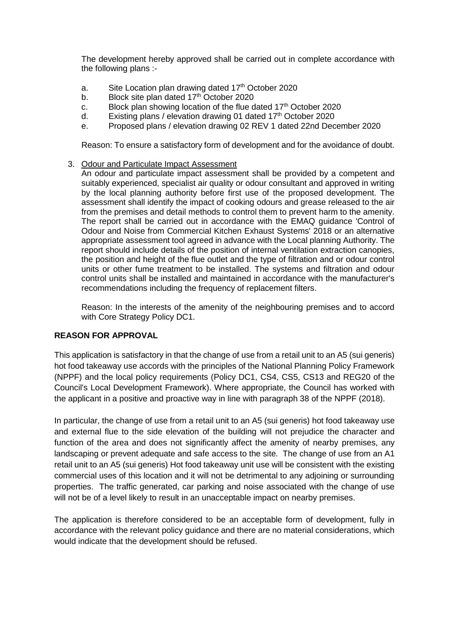The development hereby approved shall be carried out in complete accordance with the following plans :-

- a. Site Location plan drawing dated  $17<sup>th</sup>$  October 2020
- b. Block site plan dated  $17<sup>th</sup>$  October 2020
- c. Block plan showing location of the flue dated  $17<sup>th</sup>$  October 2020
- d. Existing plans / elevation drawing 01 dated  $17<sup>th</sup>$  October 2020
- e. Proposed plans / elevation drawing 02 REV 1 dated 22nd December 2020

Reason: To ensure a satisfactory form of development and for the avoidance of doubt.

3. Odour and Particulate Impact Assessment

An odour and particulate impact assessment shall be provided by a competent and suitably experienced, specialist air quality or odour consultant and approved in writing by the local planning authority before first use of the proposed development. The assessment shall identify the impact of cooking odours and grease released to the air from the premises and detail methods to control them to prevent harm to the amenity. The report shall be carried out in accordance with the EMAQ guidance 'Control of Odour and Noise from Commercial Kitchen Exhaust Systems' 2018 or an alternative appropriate assessment tool agreed in advance with the Local planning Authority. The report should include details of the position of internal ventilation extraction canopies, the position and height of the flue outlet and the type of filtration and or odour control units or other fume treatment to be installed. The systems and filtration and odour control units shall be installed and maintained in accordance with the manufacturer's recommendations including the frequency of replacement filters.

Reason: In the interests of the amenity of the neighbouring premises and to accord with Core Strategy Policy DC1.

# **REASON FOR APPROVAL**

This application is satisfactory in that the change of use from a retail unit to an A5 (sui generis) hot food takeaway use accords with the principles of the National Planning Policy Framework (NPPF) and the local policy requirements (Policy DC1, CS4, CS5, CS13 and REG20 of the Council's Local Development Framework). Where appropriate, the Council has worked with the applicant in a positive and proactive way in line with paragraph 38 of the NPPF (2018).

In particular, the change of use from a retail unit to an A5 (sui generis) hot food takeaway use and external flue to the side elevation of the building will not prejudice the character and function of the area and does not significantly affect the amenity of nearby premises, any landscaping or prevent adequate and safe access to the site. The change of use from an A1 retail unit to an A5 (sui generis) Hot food takeaway unit use will be consistent with the existing commercial uses of this location and it will not be detrimental to any adjoining or surrounding properties. The traffic generated, car parking and noise associated with the change of use will not be of a level likely to result in an unacceptable impact on nearby premises.

The application is therefore considered to be an acceptable form of development, fully in accordance with the relevant policy guidance and there are no material considerations, which would indicate that the development should be refused.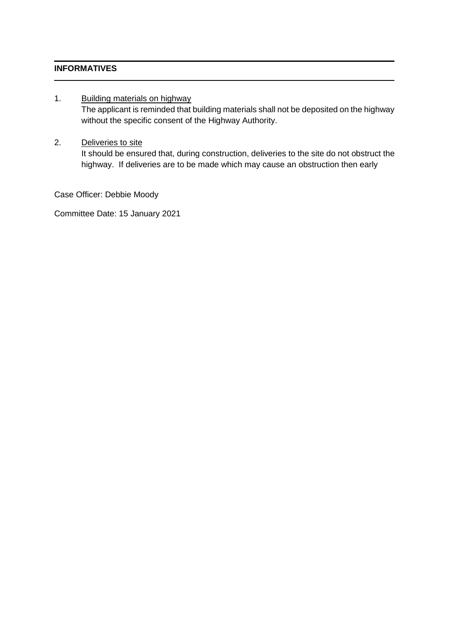# **INFORMATIVES**

## 1. Building materials on highway

The applicant is reminded that building materials shall not be deposited on the highway without the specific consent of the Highway Authority.

## 2. Deliveries to site

It should be ensured that, during construction, deliveries to the site do not obstruct the highway. If deliveries are to be made which may cause an obstruction then early

Case Officer: Debbie Moody

Committee Date: 15 January 2021